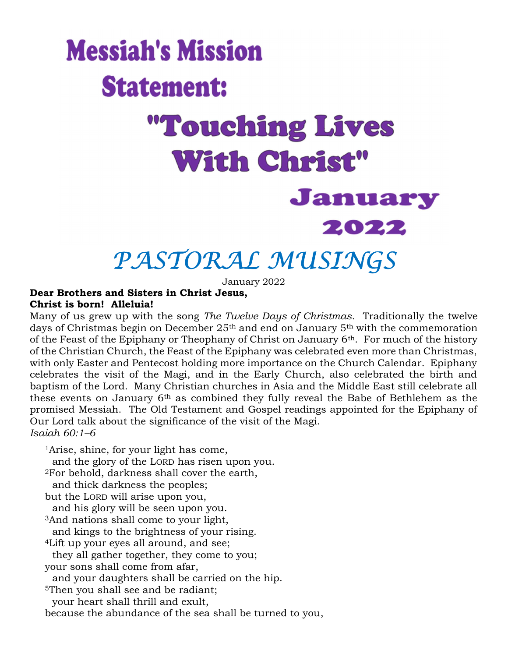# **Messiah's Mission Statement: "Touching Lives With Christ"** January 2022

# PASTORAL MUSINGS

January 2022

#### Dear Brothers and Sisters in Christ Jesus, Christ is born! Alleluia!

Many of us grew up with the song The Twelve Days of Christmas. Traditionally the twelve days of Christmas begin on December 25th and end on January 5th with the commemoration of the Feast of the Epiphany or Theophany of Christ on January  $6<sup>th</sup>$ . For much of the history of the Christian Church, the Feast of the Epiphany was celebrated even more than Christmas, with only Easter and Pentecost holding more importance on the Church Calendar. Epiphany celebrates the visit of the Magi, and in the Early Church, also celebrated the birth and baptism of the Lord. Many Christian churches in Asia and the Middle East still celebrate all these events on January 6th as combined they fully reveal the Babe of Bethlehem as the promised Messiah. The Old Testament and Gospel readings appointed for the Epiphany of Our Lord talk about the significance of the visit of the Magi. Isaiah 60:1–6

<sup>1</sup>Arise, shine, for your light has come, and the glory of the LORD has risen upon you. <sup>2</sup>For behold, darkness shall cover the earth, and thick darkness the peoples; but the LORD will arise upon you, and his glory will be seen upon you. <sup>3</sup>And nations shall come to your light, and kings to the brightness of your rising. <sup>4</sup>Lift up your eyes all around, and see; they all gather together, they come to you; your sons shall come from afar, and your daughters shall be carried on the hip. <sup>5</sup>Then you shall see and be radiant; your heart shall thrill and exult,

because the abundance of the sea shall be turned to you,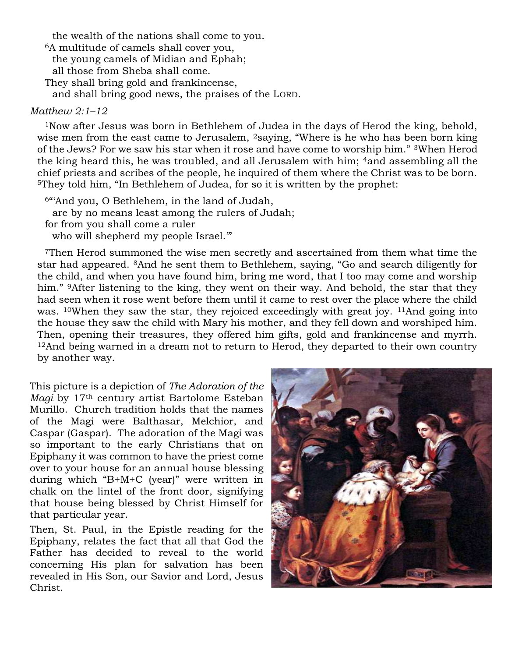the wealth of the nations shall come to you. <sup>6</sup>A multitude of camels shall cover you, the young camels of Midian and Ephah; all those from Sheba shall come. They shall bring gold and frankincense,

and shall bring good news, the praises of the LORD.

#### Matthew 2:1–12

<sup>1</sup>Now after Jesus was born in Bethlehem of Judea in the days of Herod the king, behold, wise men from the east came to Jerusalem, <sup>2</sup>saying, "Where is he who has been born king of the Jews? For we saw his star when it rose and have come to worship him." 3When Herod the king heard this, he was troubled, and all Jerusalem with him; 4and assembling all the chief priests and scribes of the people, he inquired of them where the Christ was to be born. <sup>5</sup>They told him, "In Bethlehem of Judea, for so it is written by the prophet:

<sup>6</sup>"'And you, O Bethlehem, in the land of Judah, are by no means least among the rulers of Judah; for from you shall come a ruler who will shepherd my people Israel."

<sup>7</sup>Then Herod summoned the wise men secretly and ascertained from them what time the star had appeared. 8And he sent them to Bethlehem, saying, "Go and search diligently for the child, and when you have found him, bring me word, that I too may come and worship him." <sup>9</sup>After listening to the king, they went on their way. And behold, the star that they had seen when it rose went before them until it came to rest over the place where the child was. <sup>10</sup>When they saw the star, they rejoiced exceedingly with great joy. <sup>11</sup>And going into the house they saw the child with Mary his mother, and they fell down and worshiped him. Then, opening their treasures, they offered him gifts, gold and frankincense and myrrh. <sup>12</sup>And being warned in a dream not to return to Herod, they departed to their own country by another way.

This picture is a depiction of The Adoration of the Magi by 17<sup>th</sup> century artist Bartolome Esteban Murillo. Church tradition holds that the names of the Magi were Balthasar, Melchior, and Caspar (Gaspar). The adoration of the Magi was so important to the early Christians that on Epiphany it was common to have the priest come over to your house for an annual house blessing during which "B+M+C (year)" were written in chalk on the lintel of the front door, signifying that house being blessed by Christ Himself for that particular year.

Then, St. Paul, in the Epistle reading for the Epiphany, relates the fact that all that God the Father has decided to reveal to the world concerning His plan for salvation has been revealed in His Son, our Savior and Lord, Jesus Christ.

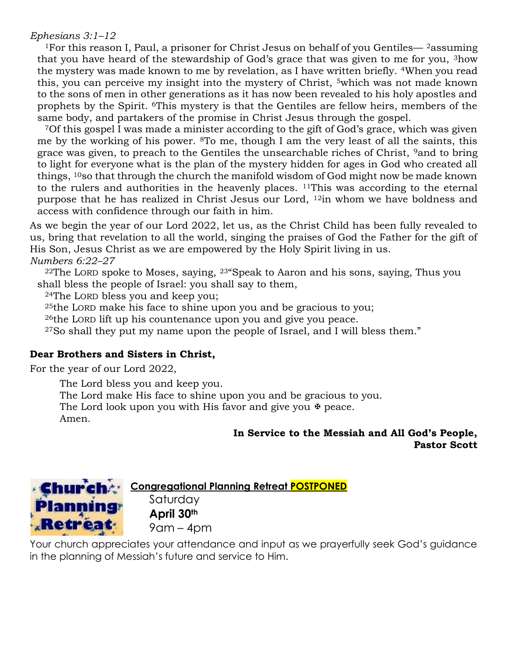#### Ephesians 3:1–12

<sup>1</sup>For this reason I, Paul, a prisoner for Christ Jesus on behalf of you Gentiles—  $^2$  assuming that you have heard of the stewardship of God's grace that was given to me for you, 3how the mystery was made known to me by revelation, as I have written briefly. 4When you read this, you can perceive my insight into the mystery of Christ, <sup>5</sup>which was not made known to the sons of men in other generations as it has now been revealed to his holy apostles and prophets by the Spirit. 6This mystery is that the Gentiles are fellow heirs, members of the same body, and partakers of the promise in Christ Jesus through the gospel.

<sup>7</sup>Of this gospel I was made a minister according to the gift of God's grace, which was given me by the working of his power. 8To me, though I am the very least of all the saints, this grace was given, to preach to the Gentiles the unsearchable riches of Christ, <sup>9</sup>and to bring to light for everyone what is the plan of the mystery hidden for ages in God who created all things, 10so that through the church the manifold wisdom of God might now be made known to the rulers and authorities in the heavenly places. <sup>11</sup>This was according to the eternal purpose that he has realized in Christ Jesus our Lord, 12in whom we have boldness and access with confidence through our faith in him.

As we begin the year of our Lord 2022, let us, as the Christ Child has been fully revealed to us, bring that revelation to all the world, singing the praises of God the Father for the gift of His Son, Jesus Christ as we are empowered by the Holy Spirit living in us. Numbers 6:22–27

 $22$ The LORD spoke to Moses, saying,  $23$  Speak to Aaron and his sons, saying, Thus you shall bless the people of Israel: you shall say to them,

<sup>24</sup>The LORD bless you and keep you;

<sup>25</sup>the LORD make his face to shine upon you and be gracious to you;

<sup>26</sup>the LORD lift up his countenance upon you and give you peace.

<sup>27</sup>So shall they put my name upon the people of Israel, and I will bless them."

#### Dear Brothers and Sisters in Christ,

For the year of our Lord 2022,

The Lord bless you and keep you.

The Lord make His face to shine upon you and be gracious to you.

The Lord look upon you with His favor and give you  $\overline{\mathcal{F}}$  peace.

Amen.

#### In Service to the Messiah and All God's People, Pastor Scott



Congregational Planning Retreat POSTPONED

Saturday April 30<sup>th</sup> 9am – 4pm

Your church appreciates your attendance and input as we prayerfully seek God's guidance in the planning of Messiah's future and service to Him.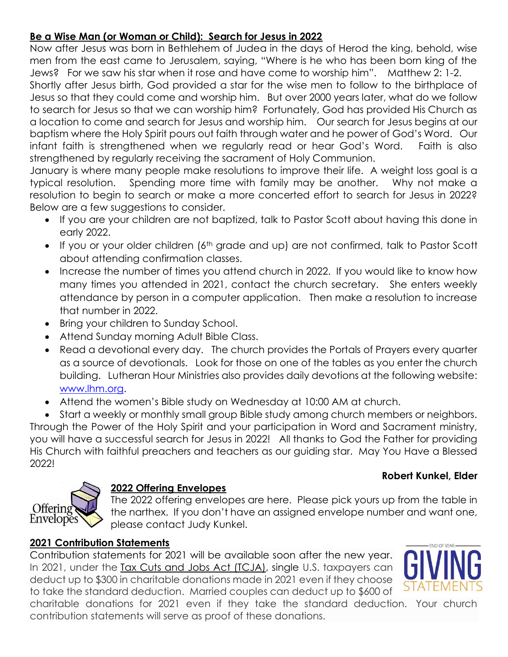#### Be a Wise Man (or Woman or Child): Search for Jesus in 2022

Now after Jesus was born in Bethlehem of Judea in the days of Herod the king, behold, wise men from the east came to Jerusalem, saying, "Where is he who has been born king of the Jews? For we saw his star when it rose and have come to worship him". Matthew 2: 1-2.

Shortly after Jesus birth, God provided a star for the wise men to follow to the birthplace of Jesus so that they could come and worship him. But over 2000 years later, what do we follow to search for Jesus so that we can worship him? Fortunately, God has provided His Church as a location to come and search for Jesus and worship him. Our search for Jesus begins at our baptism where the Holy Spirit pours out faith through water and he power of God's Word. Our infant faith is strengthened when we regularly read or hear God's Word. Faith is also strengthened by regularly receiving the sacrament of Holy Communion.

January is where many people make resolutions to improve their life. A weight loss goal is a typical resolution. Spending more time with family may be another. Why not make a resolution to begin to search or make a more concerted effort to search for Jesus in 2022? Below are a few suggestions to consider.

- If you are your children are not baptized, talk to Pastor Scott about having this done in early 2022.
- If you or your older children (6<sup>th</sup> grade and up) are not confirmed, talk to Pastor Scott about attending confirmation classes.
- Increase the number of times you attend church in 2022. If you would like to know how many times you attended in 2021, contact the church secretary. She enters weekly attendance by person in a computer application. Then make a resolution to increase that number in 2022.
- Bring your children to Sunday School.
- Attend Sunday morning Adult Bible Class.
- Read a devotional every day. The church provides the Portals of Prayers every quarter as a source of devotionals. Look for those on one of the tables as you enter the church building. Lutheran Hour Ministries also provides daily devotions at the following website: www.lhm.org.
- Attend the women's Bible study on Wednesday at 10:00 AM at church.

 Start a weekly or monthly small group Bible study among church members or neighbors. Through the Power of the Holy Spirit and your participation in Word and Sacrament ministry, you will have a successful search for Jesus in 2022! All thanks to God the Father for providing His Church with faithful preachers and teachers as our guiding star. May You Have a Blessed 2022!

#### Robert Kunkel, Elder



#### 2022 Offering Envelopes

The 2022 offering envelopes are here. Please pick yours up from the table in the narthex. If you don't have an assigned envelope number and want one, please contact Judy Kunkel.

#### 2021 Contribution Statements

Contribution statements for 2021 will be available soon after the new year. In 2021, under the Tax Cuts and Jobs Act (TCJA), single U.S. taxpayers can deduct up to \$300 in charitable donations made in 2021 even if they choose to take the standard deduction. Married couples can deduct up to \$600 of



charitable donations for 2021 even if they take the standard deduction. Your church contribution statements will serve as proof of these donations.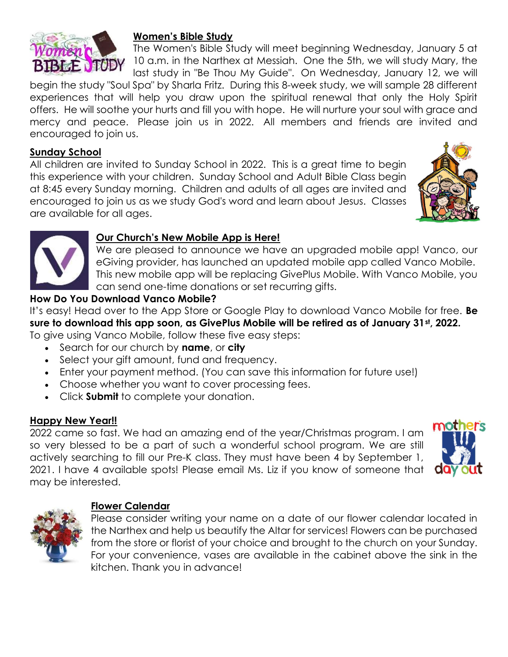

#### Women's Bible Study

The Women's Bible Study will meet beginning Wednesday, January 5 at 10 a.m. in the Narthex at Messiah. One the 5th, we will study Mary, the last study in "Be Thou My Guide". On Wednesday, January 12, we will

begin the study "Soul Spa" by Sharla Fritz. During this 8-week study, we will sample 28 different experiences that will help you draw upon the spiritual renewal that only the Holy Spirit offers. He will soothe your hurts and fill you with hope. He will nurture your soul with grace and mercy and peace. Please join us in 2022. All members and friends are invited and encouraged to join us.

#### Sunday School

All children are invited to Sunday School in 2022. This is a great time to begin this experience with your children. Sunday School and Adult Bible Class begin at 8:45 every Sunday morning. Children and adults of all ages are invited and encouraged to join us as we study God's word and learn about Jesus. Classes are available for all ages.





#### Our Church's New Mobile App is Here!

We are pleased to announce we have an upgraded mobile app! Vanco, our eGiving provider, has launched an updated mobile app called Vanco Mobile. This new mobile app will be replacing GivePlus Mobile. With Vanco Mobile, you can send one-time donations or set recurring gifts.

#### How Do You Download Vanco Mobile?

It's easy! Head over to the App Store or Google Play to download Vanco Mobile for free. **Be** sure to download this app soon, as GivePlus Mobile will be retired as of January 31st, 2022. To give using Vanco Mobile, follow these five easy steps:

- Search for our church by name, or city
- Select your gift amount, fund and frequency.
- Enter your payment method. (You can save this information for future use!)
- Choose whether you want to cover processing fees.
- Click Submit to complete your donation.

#### Happy New Year!!

2022 came so fast. We had an amazing end of the year/Christmas program. I am so very blessed to be a part of such a wonderful school program. We are still actively searching to fill our Pre-K class. They must have been 4 by September 1, 2021. I have 4 available spots! Please email Ms. Liz if you know of someone that may be interested.





#### Flower Calendar

Please consider writing your name on a date of our flower calendar located in the Narthex and help us beautify the Altar for services! Flowers can be purchased from the store or florist of your choice and brought to the church on your Sunday. For your convenience, vases are available in the cabinet above the sink in the kitchen. Thank you in advance!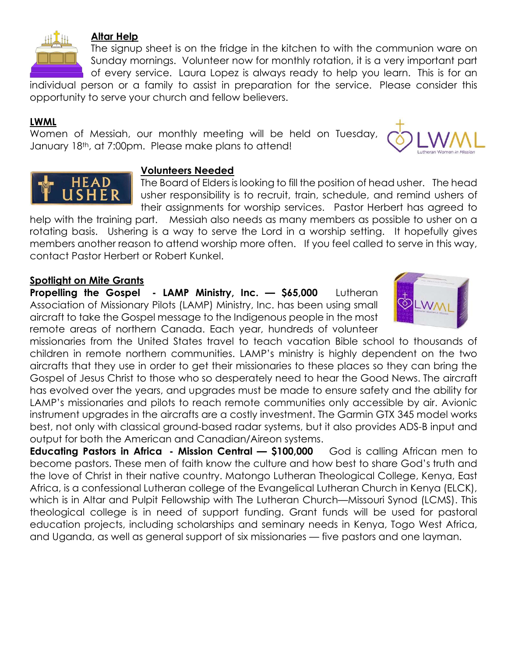

#### Altar Help

The signup sheet is on the fridge in the kitchen to with the communion ware on Sunday mornings. Volunteer now for monthly rotation, it is a very important part of every service. Laura Lopez is always ready to help you learn. This is for an

individual person or a family to assist in preparation for the service. Please consider this opportunity to serve your church and fellow believers.

#### LWML

Women of Messiah, our monthly meeting will be held on Tuesday, January 18th, at 7:00pm. Please make plans to attend!





#### Volunteers Needed

The Board of Elders is looking to fill the position of head usher. The head usher responsibility is to recruit, train, schedule, and remind ushers of their assignments for worship services. Pastor Herbert has agreed to

help with the training part. Messiah also needs as many members as possible to usher on a rotating basis. Ushering is a way to serve the Lord in a worship setting. It hopefully gives members another reason to attend worship more often. If you feel called to serve in this way, contact Pastor Herbert or Robert Kunkel.

#### Spotlight on Mite Grants

Propelling the Gospel - LAMP Ministry, Inc. - \$65,000 Lutheran Association of Missionary Pilots (LAMP) Ministry, Inc. has been using small aircraft to take the Gospel message to the Indigenous people in the most remote areas of northern Canada. Each year, hundreds of volunteer



missionaries from the United States travel to teach vacation Bible school to thousands of children in remote northern communities. LAMP's ministry is highly dependent on the two aircrafts that they use in order to get their missionaries to these places so they can bring the Gospel of Jesus Christ to those who so desperately need to hear the Good News. The aircraft has evolved over the years, and upgrades must be made to ensure safety and the ability for LAMP's missionaries and pilots to reach remote communities only accessible by air. Avionic instrument upgrades in the aircrafts are a costly investment. The Garmin GTX 345 model works best, not only with classical ground-based radar systems, but it also provides ADS-B input and output for both the American and Canadian/Aireon systems.

Educating Pastors in Africa - Mission Central - \$100,000 God is calling African men to become pastors. These men of faith know the culture and how best to share God's truth and the love of Christ in their native country. Matongo Lutheran Theological College, Kenya, East Africa, is a confessional Lutheran college of the Evangelical Lutheran Church in Kenya (ELCK), which is in Altar and Pulpit Fellowship with The Lutheran Church—Missouri Synod (LCMS). This theological college is in need of support funding. Grant funds will be used for pastoral education projects, including scholarships and seminary needs in Kenya, Togo West Africa, and Uganda, as well as general support of six missionaries — five pastors and one layman.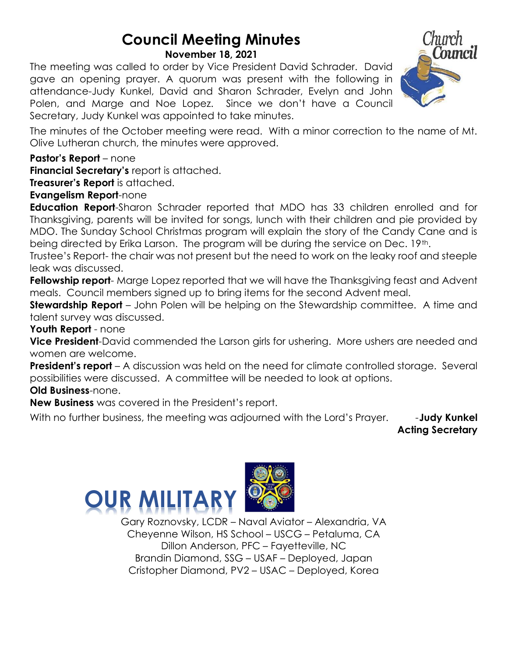## Council Meeting Minutes

November 18, 2021

The meeting was called to order by Vice President David Schrader. David gave an opening prayer. A quorum was present with the following in attendance-Judy Kunkel, David and Sharon Schrader, Evelyn and John Polen, and Marge and Noe Lopez. Since we don't have a Council Secretary, Judy Kunkel was appointed to take minutes.



The minutes of the October meeting were read. With a minor correction to the name of Mt. Olive Lutheran church, the minutes were approved.

Pastor's Report – none

Financial Secretary's report is attached.

Treasurer's Report is attached.

Evangelism Report-none

**Education Report-**Sharon Schrader reported that MDO has 33 children enrolled and for Thanksgiving, parents will be invited for songs, lunch with their children and pie provided by MDO. The Sunday School Christmas program will explain the story of the Candy Cane and is being directed by Erika Larson. The program will be during the service on Dec. 19<sup>th</sup>.

Trustee's Report- the chair was not present but the need to work on the leaky roof and steeple leak was discussed.

Fellowship report- Marge Lopez reported that we will have the Thanksgiving feast and Advent meals. Council members signed up to bring items for the second Advent meal.

**Stewardship Report** – John Polen will be helping on the Stewardship committee. A time and talent survey was discussed.

Youth Report - none

Vice President-David commended the Larson girls for ushering. More ushers are needed and women are welcome.

**President's report** – A discussion was held on the need for climate controlled storage. Several possibilities were discussed. A committee will be needed to look at options.

Old Business-none.

New Business was covered in the President's report.

With no further business, the meeting was adjourned with the Lord's Prayer. --**Judy Kunkel** 

Acting Secretary



Gary Roznovsky, LCDR – Naval Aviator – Alexandria, VA Cheyenne Wilson, HS School – USCG – Petaluma, CA Dillon Anderson, PFC – Fayetteville, NC Brandin Diamond, SSG – USAF – Deployed, Japan Cristopher Diamond, PV2 – USAC – Deployed, Korea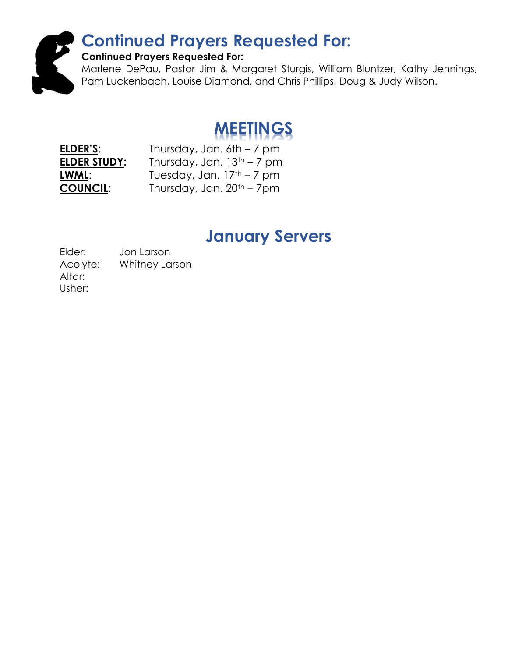#### Continued Prayers Requested For: Continued Prayers Requested For: Marlene DePau, Pastor Jim & Margaret Sturgis, William Bluntzer, Kathy Jennings, Pam Luckenbach, Louise Diamond, and Chris Phillips, Doug & Judy Wilson.

# MEETINGS

ELDER'S: Thursday, Jan. 6th – 7 pm **ELDER STUDY:** Thursday, Jan.  $13<sup>th</sup> - 7$  pm **LWML:** Tuesday, Jan.  $17<sup>th</sup> - 7$  pm **COUNCIL:** Thursday, Jan. 20<sup>th</sup> – 7pm

### January Servers

Elder: Jon Larson Acolyte: Whitney Larson Altar: Usher: